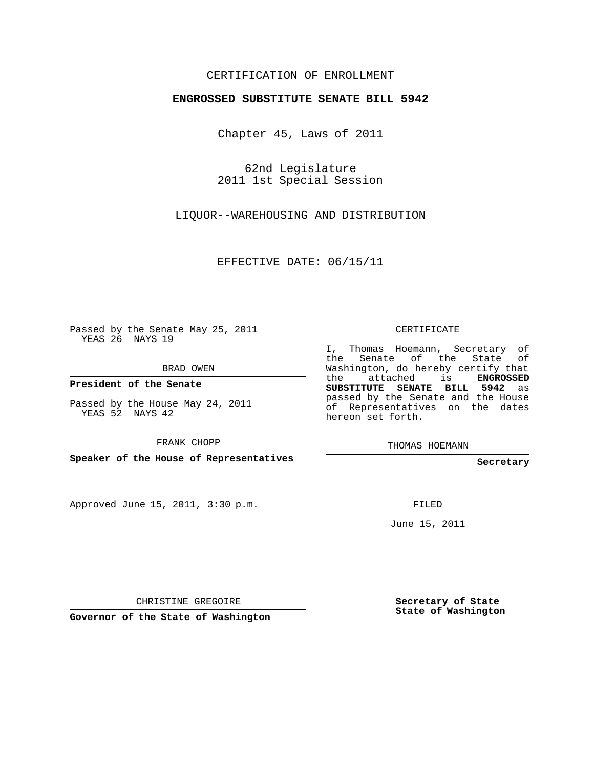## CERTIFICATION OF ENROLLMENT

## **ENGROSSED SUBSTITUTE SENATE BILL 5942**

Chapter 45, Laws of 2011

62nd Legislature 2011 1st Special Session

LIQUOR--WAREHOUSING AND DISTRIBUTION

EFFECTIVE DATE: 06/15/11

Passed by the Senate May 25, 2011 YEAS 26 NAYS 19

BRAD OWEN

**President of the Senate**

Passed by the House May 24, 2011 YEAS 52 NAYS 42

FRANK CHOPP

**Speaker of the House of Representatives**

Approved June 15, 2011, 3:30 p.m.

CERTIFICATE

I, Thomas Hoemann, Secretary of the Senate of the State of Washington, do hereby certify that the attached is **ENGROSSED SUBSTITUTE SENATE BILL 5942** as passed by the Senate and the House of Representatives on the dates hereon set forth.

THOMAS HOEMANN

**Secretary**

FILED

June 15, 2011

CHRISTINE GREGOIRE

**Governor of the State of Washington**

**Secretary of State State of Washington**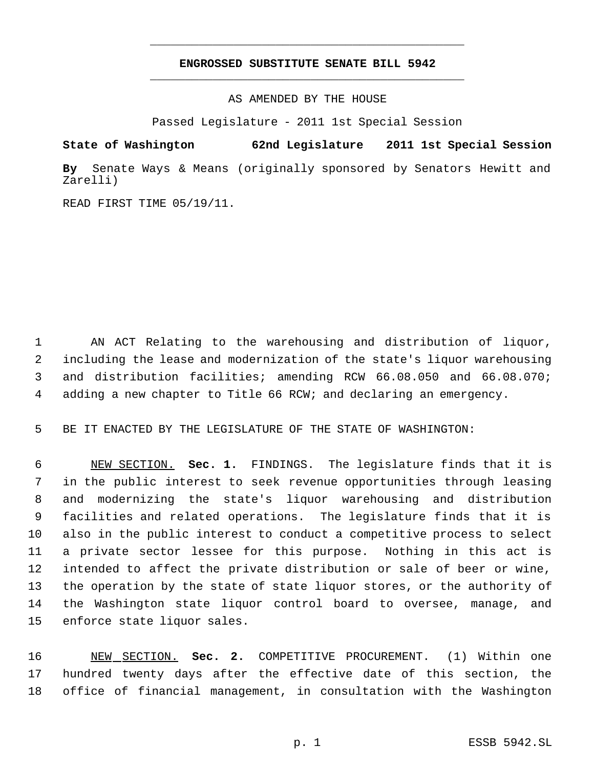## **ENGROSSED SUBSTITUTE SENATE BILL 5942** \_\_\_\_\_\_\_\_\_\_\_\_\_\_\_\_\_\_\_\_\_\_\_\_\_\_\_\_\_\_\_\_\_\_\_\_\_\_\_\_\_\_\_\_\_

\_\_\_\_\_\_\_\_\_\_\_\_\_\_\_\_\_\_\_\_\_\_\_\_\_\_\_\_\_\_\_\_\_\_\_\_\_\_\_\_\_\_\_\_\_

AS AMENDED BY THE HOUSE

Passed Legislature - 2011 1st Special Session

**State of Washington 62nd Legislature 2011 1st Special Session**

**By** Senate Ways & Means (originally sponsored by Senators Hewitt and Zarelli)

READ FIRST TIME 05/19/11.

 AN ACT Relating to the warehousing and distribution of liquor, including the lease and modernization of the state's liquor warehousing and distribution facilities; amending RCW 66.08.050 and 66.08.070; adding a new chapter to Title 66 RCW; and declaring an emergency.

BE IT ENACTED BY THE LEGISLATURE OF THE STATE OF WASHINGTON:

 NEW SECTION. **Sec. 1.** FINDINGS. The legislature finds that it is in the public interest to seek revenue opportunities through leasing and modernizing the state's liquor warehousing and distribution facilities and related operations. The legislature finds that it is also in the public interest to conduct a competitive process to select a private sector lessee for this purpose. Nothing in this act is intended to affect the private distribution or sale of beer or wine, the operation by the state of state liquor stores, or the authority of the Washington state liquor control board to oversee, manage, and enforce state liquor sales.

 NEW SECTION. **Sec. 2.** COMPETITIVE PROCUREMENT. (1) Within one hundred twenty days after the effective date of this section, the office of financial management, in consultation with the Washington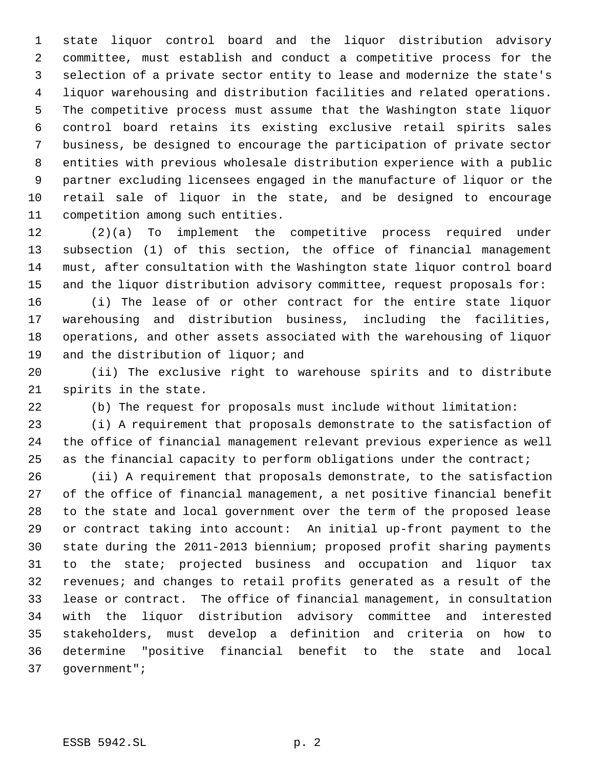state liquor control board and the liquor distribution advisory committee, must establish and conduct a competitive process for the selection of a private sector entity to lease and modernize the state's liquor warehousing and distribution facilities and related operations. The competitive process must assume that the Washington state liquor control board retains its existing exclusive retail spirits sales business, be designed to encourage the participation of private sector entities with previous wholesale distribution experience with a public partner excluding licensees engaged in the manufacture of liquor or the retail sale of liquor in the state, and be designed to encourage competition among such entities.

 (2)(a) To implement the competitive process required under subsection (1) of this section, the office of financial management must, after consultation with the Washington state liquor control board and the liquor distribution advisory committee, request proposals for:

 (i) The lease of or other contract for the entire state liquor warehousing and distribution business, including the facilities, operations, and other assets associated with the warehousing of liquor 19 and the distribution of liquor; and

 (ii) The exclusive right to warehouse spirits and to distribute spirits in the state.

(b) The request for proposals must include without limitation:

 (i) A requirement that proposals demonstrate to the satisfaction of the office of financial management relevant previous experience as well 25 as the financial capacity to perform obligations under the contract;

 (ii) A requirement that proposals demonstrate, to the satisfaction of the office of financial management, a net positive financial benefit to the state and local government over the term of the proposed lease or contract taking into account: An initial up-front payment to the state during the 2011-2013 biennium; proposed profit sharing payments to the state; projected business and occupation and liquor tax revenues; and changes to retail profits generated as a result of the lease or contract. The office of financial management, in consultation with the liquor distribution advisory committee and interested stakeholders, must develop a definition and criteria on how to determine "positive financial benefit to the state and local government";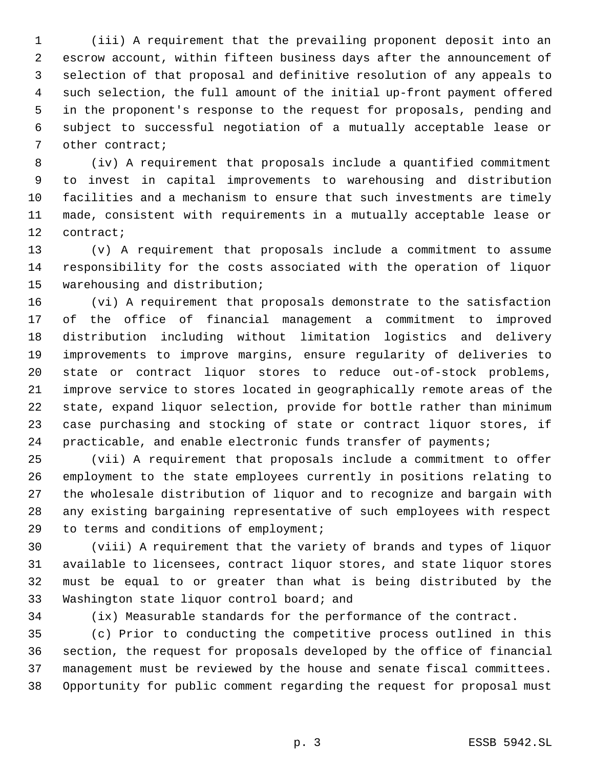(iii) A requirement that the prevailing proponent deposit into an escrow account, within fifteen business days after the announcement of selection of that proposal and definitive resolution of any appeals to such selection, the full amount of the initial up-front payment offered in the proponent's response to the request for proposals, pending and subject to successful negotiation of a mutually acceptable lease or other contract;

 (iv) A requirement that proposals include a quantified commitment to invest in capital improvements to warehousing and distribution facilities and a mechanism to ensure that such investments are timely made, consistent with requirements in a mutually acceptable lease or contract;

 (v) A requirement that proposals include a commitment to assume responsibility for the costs associated with the operation of liquor warehousing and distribution;

 (vi) A requirement that proposals demonstrate to the satisfaction of the office of financial management a commitment to improved distribution including without limitation logistics and delivery improvements to improve margins, ensure regularity of deliveries to state or contract liquor stores to reduce out-of-stock problems, improve service to stores located in geographically remote areas of the state, expand liquor selection, provide for bottle rather than minimum case purchasing and stocking of state or contract liquor stores, if practicable, and enable electronic funds transfer of payments;

 (vii) A requirement that proposals include a commitment to offer employment to the state employees currently in positions relating to the wholesale distribution of liquor and to recognize and bargain with any existing bargaining representative of such employees with respect to terms and conditions of employment;

 (viii) A requirement that the variety of brands and types of liquor available to licensees, contract liquor stores, and state liquor stores must be equal to or greater than what is being distributed by the Washington state liquor control board; and

(ix) Measurable standards for the performance of the contract.

 (c) Prior to conducting the competitive process outlined in this section, the request for proposals developed by the office of financial management must be reviewed by the house and senate fiscal committees. Opportunity for public comment regarding the request for proposal must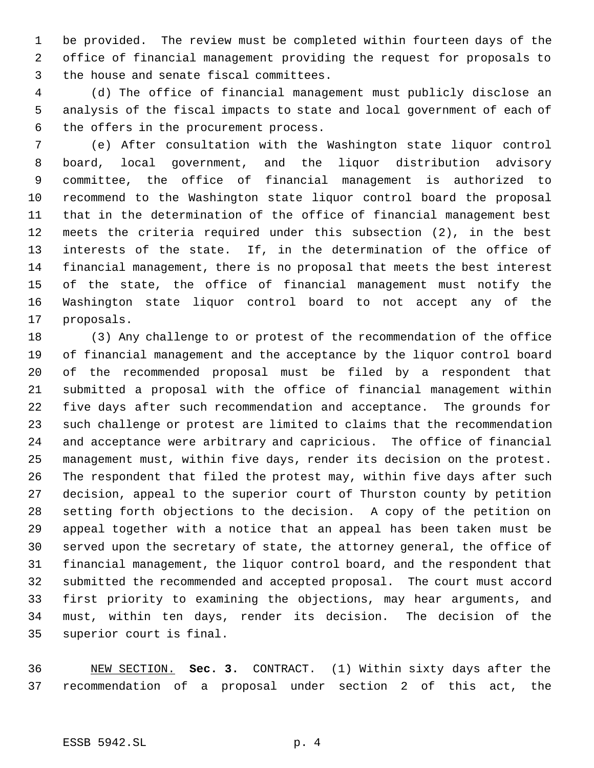be provided. The review must be completed within fourteen days of the office of financial management providing the request for proposals to the house and senate fiscal committees.

 (d) The office of financial management must publicly disclose an analysis of the fiscal impacts to state and local government of each of the offers in the procurement process.

 (e) After consultation with the Washington state liquor control board, local government, and the liquor distribution advisory committee, the office of financial management is authorized to recommend to the Washington state liquor control board the proposal that in the determination of the office of financial management best meets the criteria required under this subsection (2), in the best interests of the state. If, in the determination of the office of financial management, there is no proposal that meets the best interest of the state, the office of financial management must notify the Washington state liquor control board to not accept any of the proposals.

 (3) Any challenge to or protest of the recommendation of the office of financial management and the acceptance by the liquor control board of the recommended proposal must be filed by a respondent that submitted a proposal with the office of financial management within five days after such recommendation and acceptance. The grounds for such challenge or protest are limited to claims that the recommendation and acceptance were arbitrary and capricious. The office of financial management must, within five days, render its decision on the protest. The respondent that filed the protest may, within five days after such decision, appeal to the superior court of Thurston county by petition setting forth objections to the decision. A copy of the petition on appeal together with a notice that an appeal has been taken must be served upon the secretary of state, the attorney general, the office of financial management, the liquor control board, and the respondent that submitted the recommended and accepted proposal. The court must accord first priority to examining the objections, may hear arguments, and must, within ten days, render its decision. The decision of the superior court is final.

 NEW SECTION. **Sec. 3.** CONTRACT. (1) Within sixty days after the recommendation of a proposal under section 2 of this act, the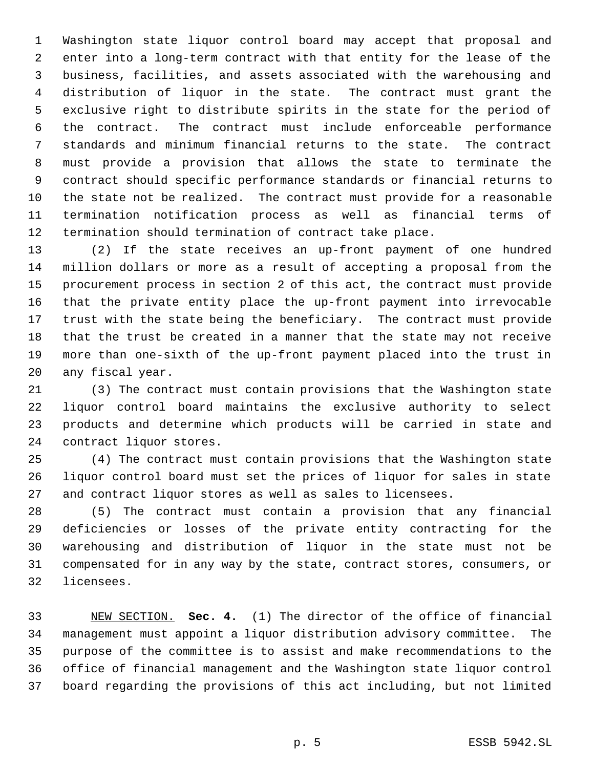Washington state liquor control board may accept that proposal and enter into a long-term contract with that entity for the lease of the business, facilities, and assets associated with the warehousing and distribution of liquor in the state. The contract must grant the exclusive right to distribute spirits in the state for the period of the contract. The contract must include enforceable performance standards and minimum financial returns to the state. The contract must provide a provision that allows the state to terminate the contract should specific performance standards or financial returns to the state not be realized. The contract must provide for a reasonable termination notification process as well as financial terms of termination should termination of contract take place.

 (2) If the state receives an up-front payment of one hundred million dollars or more as a result of accepting a proposal from the procurement process in section 2 of this act, the contract must provide that the private entity place the up-front payment into irrevocable trust with the state being the beneficiary. The contract must provide that the trust be created in a manner that the state may not receive more than one-sixth of the up-front payment placed into the trust in any fiscal year.

 (3) The contract must contain provisions that the Washington state liquor control board maintains the exclusive authority to select products and determine which products will be carried in state and contract liquor stores.

 (4) The contract must contain provisions that the Washington state liquor control board must set the prices of liquor for sales in state and contract liquor stores as well as sales to licensees.

 (5) The contract must contain a provision that any financial deficiencies or losses of the private entity contracting for the warehousing and distribution of liquor in the state must not be compensated for in any way by the state, contract stores, consumers, or licensees.

 NEW SECTION. **Sec. 4.** (1) The director of the office of financial management must appoint a liquor distribution advisory committee. The purpose of the committee is to assist and make recommendations to the office of financial management and the Washington state liquor control board regarding the provisions of this act including, but not limited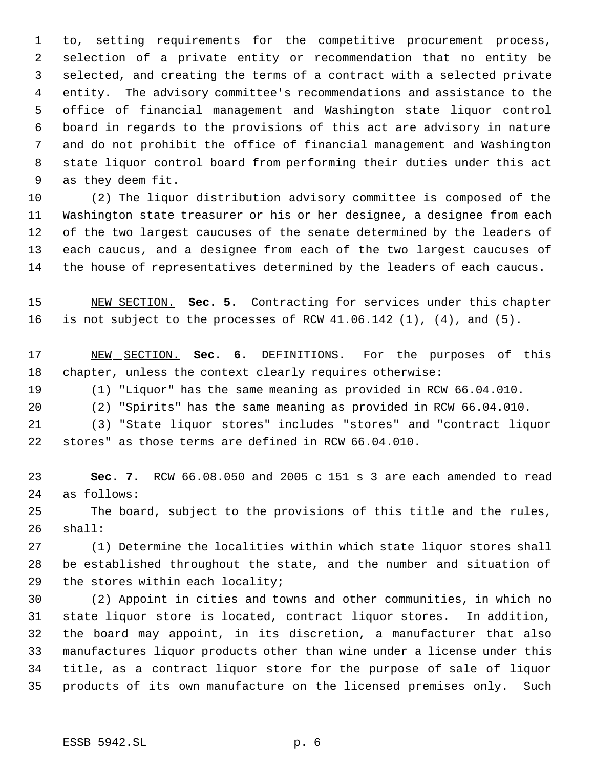to, setting requirements for the competitive procurement process, selection of a private entity or recommendation that no entity be selected, and creating the terms of a contract with a selected private entity. The advisory committee's recommendations and assistance to the office of financial management and Washington state liquor control board in regards to the provisions of this act are advisory in nature and do not prohibit the office of financial management and Washington state liquor control board from performing their duties under this act as they deem fit.

 (2) The liquor distribution advisory committee is composed of the Washington state treasurer or his or her designee, a designee from each 12 of the two largest caucuses of the senate determined by the leaders of each caucus, and a designee from each of the two largest caucuses of the house of representatives determined by the leaders of each caucus.

 NEW SECTION. **Sec. 5.** Contracting for services under this chapter is not subject to the processes of RCW 41.06.142 (1), (4), and (5).

 NEW SECTION. **Sec. 6.** DEFINITIONS. For the purposes of this chapter, unless the context clearly requires otherwise:

(1) "Liquor" has the same meaning as provided in RCW 66.04.010.

(2) "Spirits" has the same meaning as provided in RCW 66.04.010.

 (3) "State liquor stores" includes "stores" and "contract liquor stores" as those terms are defined in RCW 66.04.010.

 **Sec. 7.** RCW 66.08.050 and 2005 c 151 s 3 are each amended to read as follows:

 The board, subject to the provisions of this title and the rules, shall:

 (1) Determine the localities within which state liquor stores shall be established throughout the state, and the number and situation of the stores within each locality;

 (2) Appoint in cities and towns and other communities, in which no state liquor store is located, contract liquor stores. In addition, the board may appoint, in its discretion, a manufacturer that also manufactures liquor products other than wine under a license under this title, as a contract liquor store for the purpose of sale of liquor products of its own manufacture on the licensed premises only. Such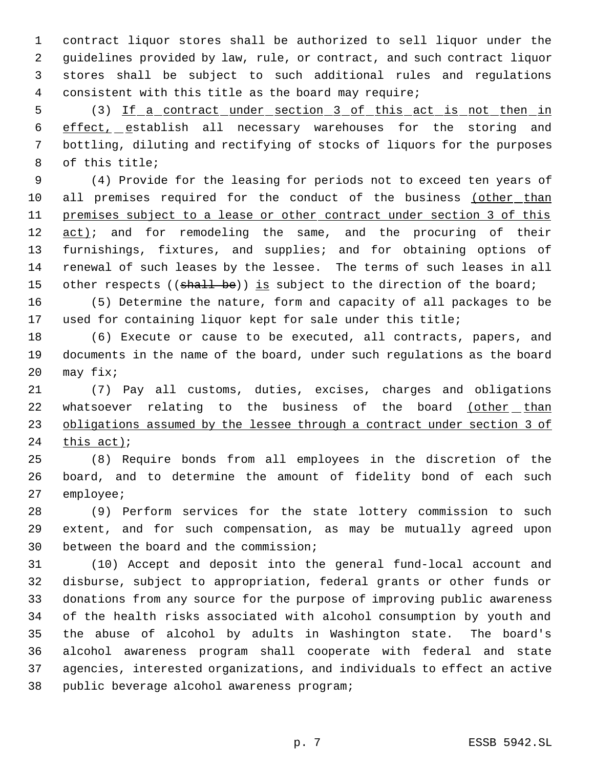contract liquor stores shall be authorized to sell liquor under the guidelines provided by law, rule, or contract, and such contract liquor stores shall be subject to such additional rules and regulations consistent with this title as the board may require;

5 (3) If a contract under section 3 of this act is not then in 6 effect, establish all necessary warehouses for the storing and bottling, diluting and rectifying of stocks of liquors for the purposes of this title;

 (4) Provide for the leasing for periods not to exceed ten years of all premises required for the conduct of the business (other than 11 premises subject to a lease or other contract under section 3 of this 12 act); and for remodeling the same, and the procuring of their furnishings, fixtures, and supplies; and for obtaining options of renewal of such leases by the lessee. The terms of such leases in all 15 other respects ((shall be)) is subject to the direction of the board;

 (5) Determine the nature, form and capacity of all packages to be used for containing liquor kept for sale under this title;

 (6) Execute or cause to be executed, all contracts, papers, and documents in the name of the board, under such regulations as the board may fix;

 (7) Pay all customs, duties, excises, charges and obligations 22 whatsoever relating to the business of the board (other than 23 obligations assumed by the lessee through a contract under section 3 of this act);

 (8) Require bonds from all employees in the discretion of the board, and to determine the amount of fidelity bond of each such employee;

 (9) Perform services for the state lottery commission to such extent, and for such compensation, as may be mutually agreed upon between the board and the commission;

 (10) Accept and deposit into the general fund-local account and disburse, subject to appropriation, federal grants or other funds or donations from any source for the purpose of improving public awareness of the health risks associated with alcohol consumption by youth and the abuse of alcohol by adults in Washington state. The board's alcohol awareness program shall cooperate with federal and state agencies, interested organizations, and individuals to effect an active public beverage alcohol awareness program;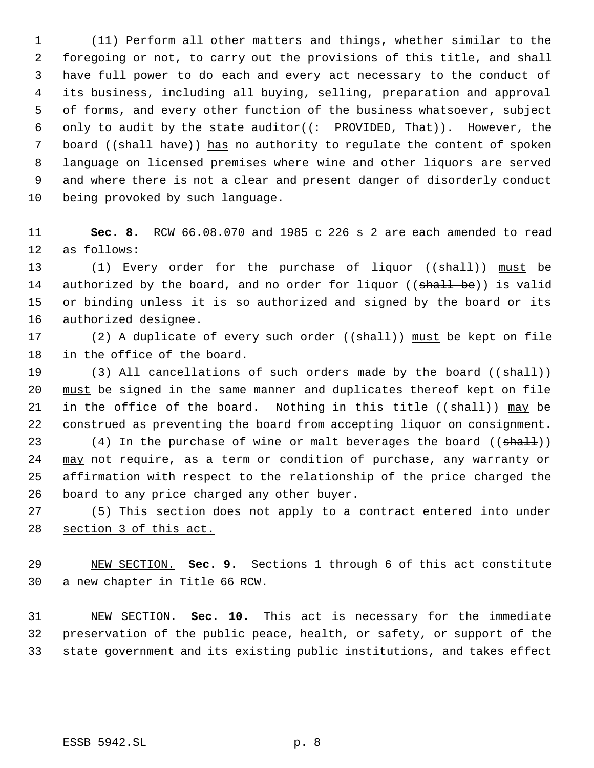(11) Perform all other matters and things, whether similar to the foregoing or not, to carry out the provisions of this title, and shall have full power to do each and every act necessary to the conduct of its business, including all buying, selling, preparation and approval of forms, and every other function of the business whatsoever, subject 6 only to audit by the state auditor( $($ : PROVIDED, That)). However, the 7 board ((shall have)) has no authority to regulate the content of spoken language on licensed premises where wine and other liquors are served and where there is not a clear and present danger of disorderly conduct being provoked by such language.

 **Sec. 8.** RCW 66.08.070 and 1985 c 226 s 2 are each amended to read as follows:

13 (1) Every order for the purchase of liquor ((shall)) must be 14 authorized by the board, and no order for liquor ((shall be)) is valid or binding unless it is so authorized and signed by the board or its authorized designee.

17 (2) A duplicate of every such order ((shall)) must be kept on file in the office of the board.

19 (3) All cancellations of such orders made by the board ((shall)) 20 must be signed in the same manner and duplicates thereof kept on file 21 in the office of the board. Nothing in this title  $((shall))$  may be construed as preventing the board from accepting liquor on consignment.

23 (4) In the purchase of wine or malt beverages the board ((shall)) 24 may not require, as a term or condition of purchase, any warranty or affirmation with respect to the relationship of the price charged the board to any price charged any other buyer.

 (5) This section does not apply to a contract entered into under 28 section 3 of this act.

 NEW SECTION. **Sec. 9.** Sections 1 through 6 of this act constitute a new chapter in Title 66 RCW.

 NEW SECTION. **Sec. 10.** This act is necessary for the immediate preservation of the public peace, health, or safety, or support of the state government and its existing public institutions, and takes effect